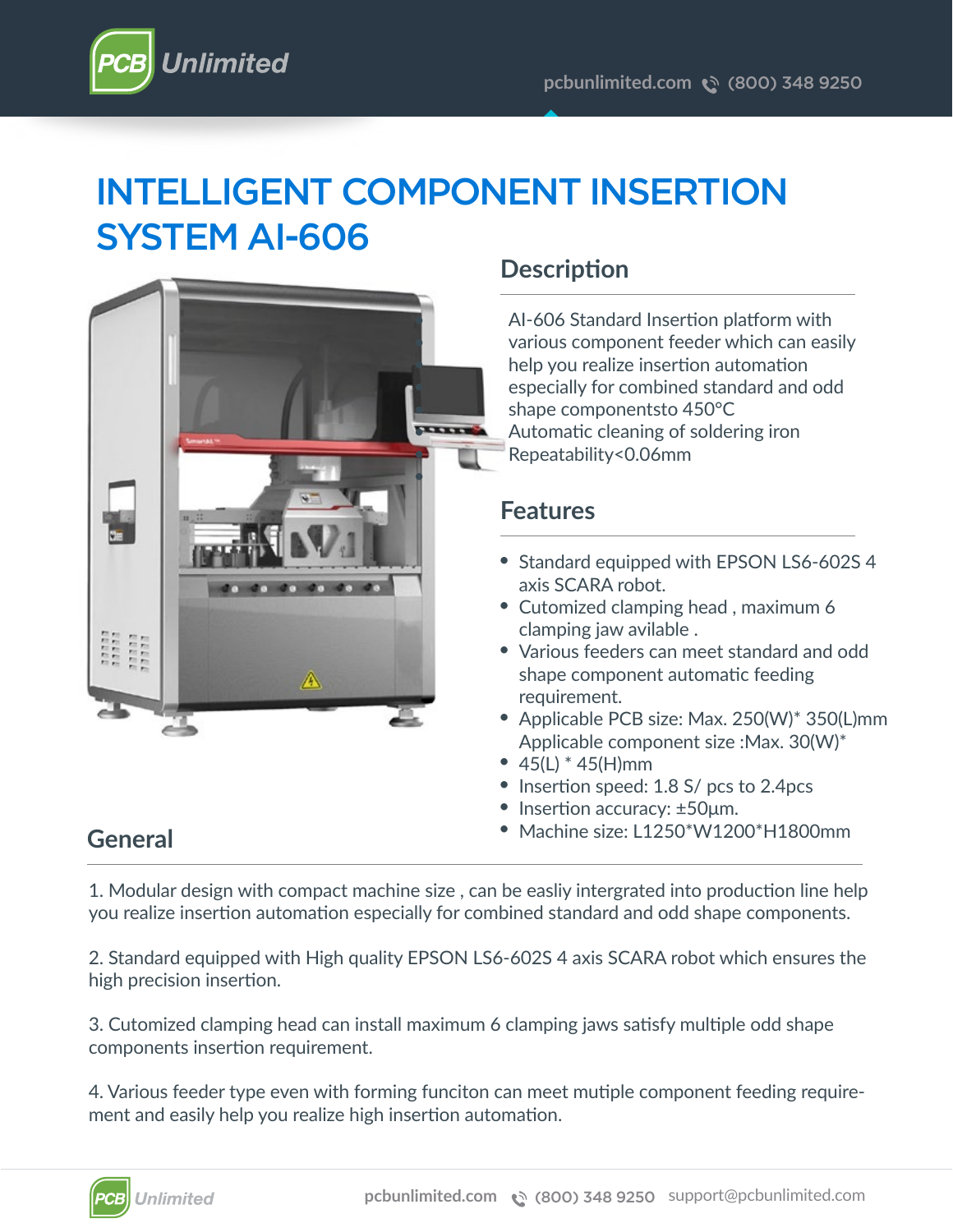

# INTELLIGENT COMPONENT INSERTION SYSTEM AI-606



# **Description**

AI-606 Standard Insertion platform with various component feeder which can easily help you realize insertion automation especially for combined standard and odd shape componentsto 450°C Automatic cleaning of soldering iron Repeatability<0.06mm

### **Features**

- Standard equipped with EPSON LS6-602S 4 axis SCARA robot.
- Cutomized clamping head, maximum 6 clamping jaw avilable .
- Various feeders can meet standard and odd shape component automatic feeding requirement.
- Applicable PCB size: Max. 250(W)\* 350(L)mm Applicable component size :Max. 30(W)\*
- $45(L) * 45(H)$ mm
- Insertion speed: 1.8 S/ pcs to 2.4pcs
- Insertion accuracy: ±50μm.
- Machine size: L1250\*W1200\*H1800mm

### **General**

1. Modular design with compact machine size , can be easliy intergrated into production line help you realize insertion automation especially for combined standard and odd shape components.

2. Standard equipped with High quality EPSON LS6-602S 4 axis SCARA robot which ensures the high precision insertion.

3. Cutomized clamping head can install maximum 6 clamping jaws satisfy multiple odd shape components insertion requirement.

4. Various feeder type even with forming funciton can meet mutiple component feeding requirement and easily help you realize high insertion automation.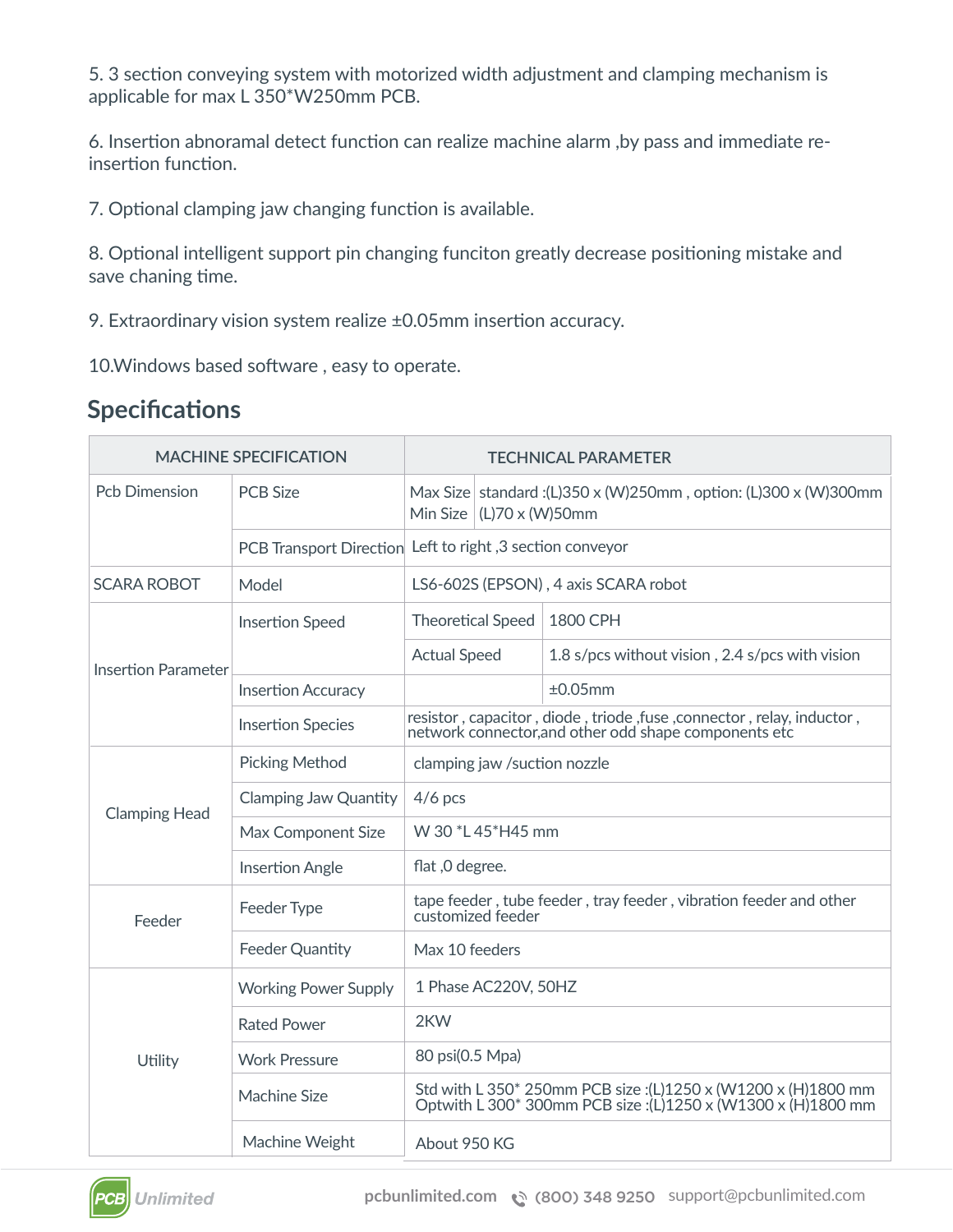5. 3 section conveying system with motorized width adjustment and clamping mechanism is applicable for max L 350\*W250mm PCB.

6. Insertion abnoramal detect function can realize machine alarm ,by pass and immediate reinsertion function.

7. Optional clamping jaw changing function is available.

8. Optional intelligent support pin changing funciton greatly decrease positioning mistake and save chaning time.

9. Extraordinary vision system realize ±0.05mm insertion accuracy.

10.Windows based software , easy to operate.

### **Specifications**

| <b>MACHINE SPECIFICATION</b> |                              | <b>TECHNICAL PARAMETER</b>                                                                                                    |                                                                                                                                |                                                 |  |  |  |
|------------------------------|------------------------------|-------------------------------------------------------------------------------------------------------------------------------|--------------------------------------------------------------------------------------------------------------------------------|-------------------------------------------------|--|--|--|
| <b>Pch Dimension</b>         | <b>PCB Size</b>              |                                                                                                                               | Max Size   standard : (L)350 x (W)250mm, option: (L)300 x (W)300mm<br>Min Size $ (L)70 \times (W)50$ mm                        |                                                 |  |  |  |
|                              |                              | PCB Transport Direction Left to right, 3 section conveyor                                                                     |                                                                                                                                |                                                 |  |  |  |
| <b>SCARA ROBOT</b>           | Model                        | LS6-602S (EPSON), 4 axis SCARA robot                                                                                          |                                                                                                                                |                                                 |  |  |  |
| <b>Insertion Parameter</b>   | <b>Insertion Speed</b>       | <b>Theoretical Speed</b>                                                                                                      |                                                                                                                                | 1800 CPH                                        |  |  |  |
|                              |                              | <b>Actual Speed</b>                                                                                                           |                                                                                                                                | 1.8 s/pcs without vision, 2.4 s/pcs with vision |  |  |  |
|                              | <b>Insertion Accuracy</b>    |                                                                                                                               |                                                                                                                                | ±0.05mm                                         |  |  |  |
|                              | <b>Insertion Species</b>     |                                                                                                                               | resistor, capacitor, diode, triode, fuse, connector, relay, inductor,<br>network connector, and other odd shape components etc |                                                 |  |  |  |
| <b>Clamping Head</b>         | <b>Picking Method</b>        | clamping jaw /suction nozzle                                                                                                  |                                                                                                                                |                                                 |  |  |  |
|                              | <b>Clamping Jaw Quantity</b> | $4/6$ pcs                                                                                                                     |                                                                                                                                |                                                 |  |  |  |
|                              | Max Component Size           | W 30 *L 45 *H45 mm                                                                                                            |                                                                                                                                |                                                 |  |  |  |
|                              | <b>Insertion Angle</b>       | flat, 0 degree.                                                                                                               |                                                                                                                                |                                                 |  |  |  |
| Feeder                       | Feeder Type                  | tape feeder, tube feeder, tray feeder, vibration feeder and other<br>customized feeder                                        |                                                                                                                                |                                                 |  |  |  |
|                              | <b>Feeder Quantity</b>       | Max 10 feeders                                                                                                                |                                                                                                                                |                                                 |  |  |  |
| Utility                      | <b>Working Power Supply</b>  | 1 Phase AC220V, 50HZ                                                                                                          |                                                                                                                                |                                                 |  |  |  |
|                              | <b>Rated Power</b>           | 2KW                                                                                                                           |                                                                                                                                |                                                 |  |  |  |
|                              | <b>Work Pressure</b>         | 80 psi(0.5 Mpa)                                                                                                               |                                                                                                                                |                                                 |  |  |  |
|                              | <b>Machine Size</b>          | Std with L 350* 250mm PCB size :(L)1250 x (W1200 x (H)1800 mm<br>Optwith L 300* 300mm PCB size :(L)1250 x (W1300 x (H)1800 mm |                                                                                                                                |                                                 |  |  |  |
|                              | Machine Weight               | About 950 KG                                                                                                                  |                                                                                                                                |                                                 |  |  |  |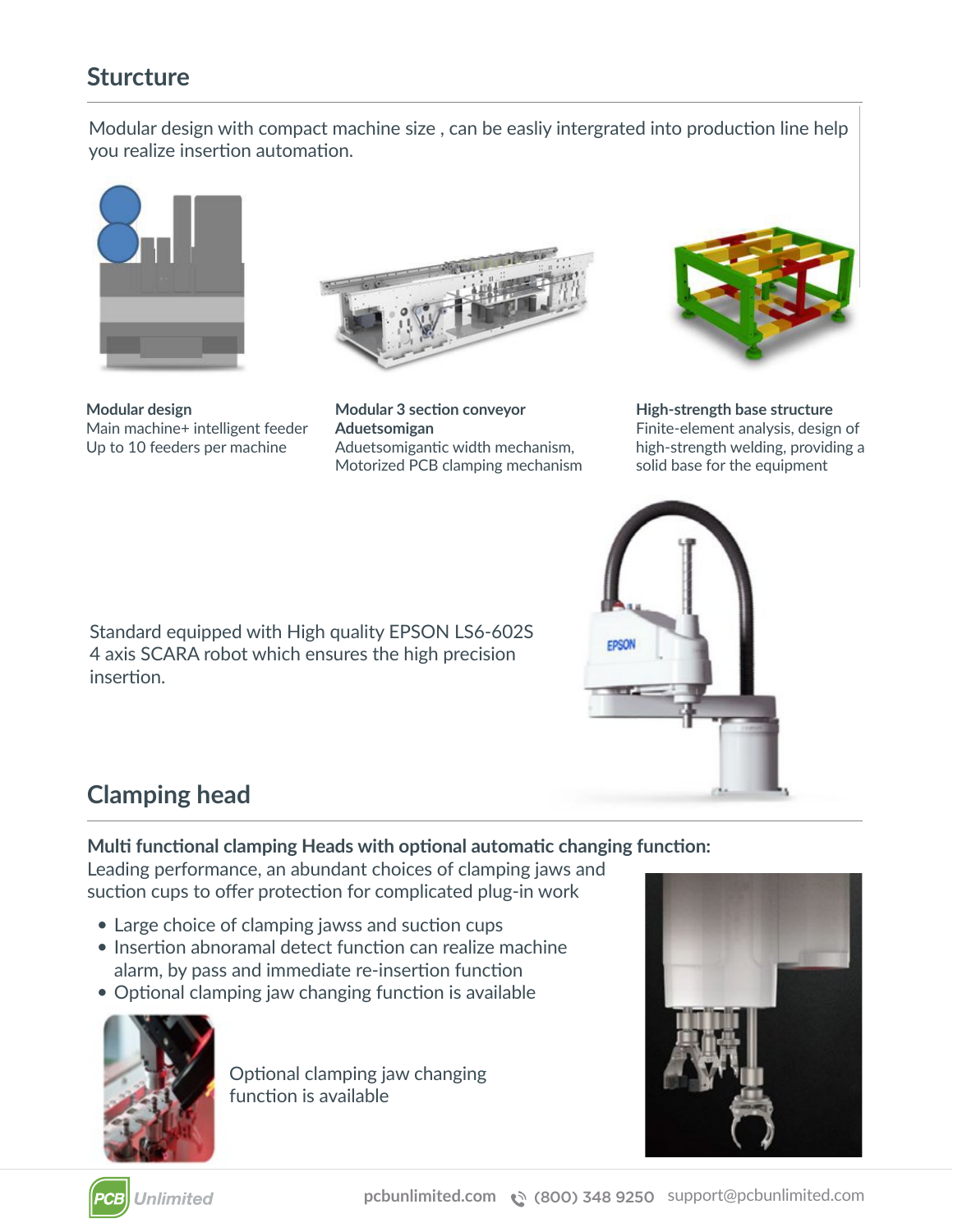### **Sturcture**

Modular design with compact machine size , can be easliy intergrated into production line help you realize insertion automation.



**Modular design** Main machine+ intelligent feeder Up to 10 feeders per machine



**Modular 3 section conveyor Aduetsomigan** Aduetsomigantic width mechanism, Motorized PCB clamping mechanism



**High-strength base structure** Finite-element analysis, design of high-strength welding, providing a solid base for the equipment

Standard equipped with High quality EPSON LS6-602S 4 axis SCARA robot which ensures the high precision insertion.



# **Clamping head**

#### **Multi functional clamping Heads with optional automatic changing function:**

Leading performance, an abundant choices of clamping jaws and suction cups to offer protection for complicated plug-in work

- Large choice of clamping jawss and suction cups •
- Insertion abnoramal detect function can realize machine alarm, by pass and immediate re-insertion function
- Optional clamping jaw changing function is available



Optional clamping jaw changing function is available



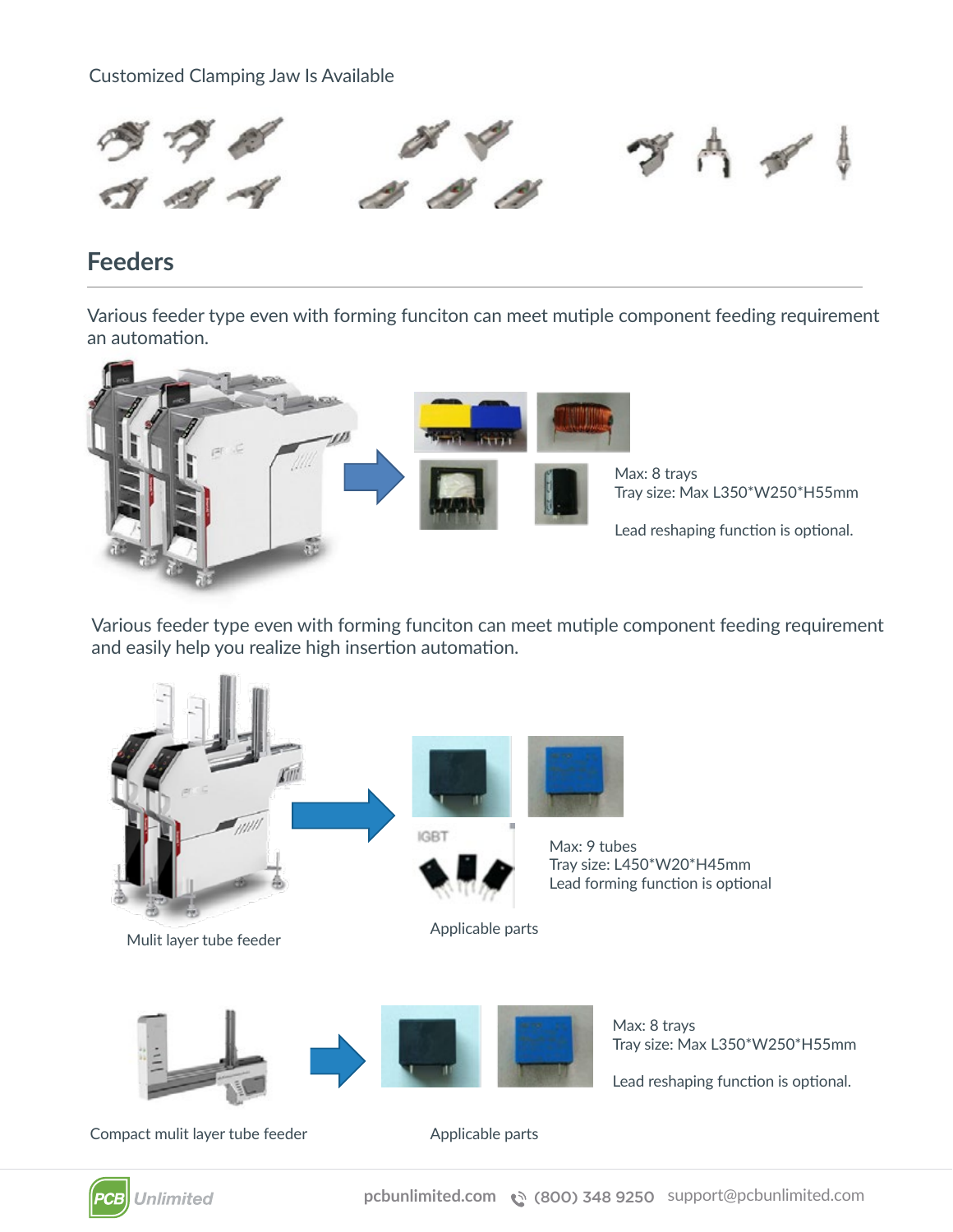Customized Clamping Jaw Is Available



### **Feeders**

Various feeder type even with forming funciton can meet mutiple component feeding requirement an automation.



Various feeder type even with forming funciton can meet mutiple component feeding requirement and easily help you realize high insertion automation.





**pcbunlimited.com** (800) 348 9250 support@pcbunlimited.com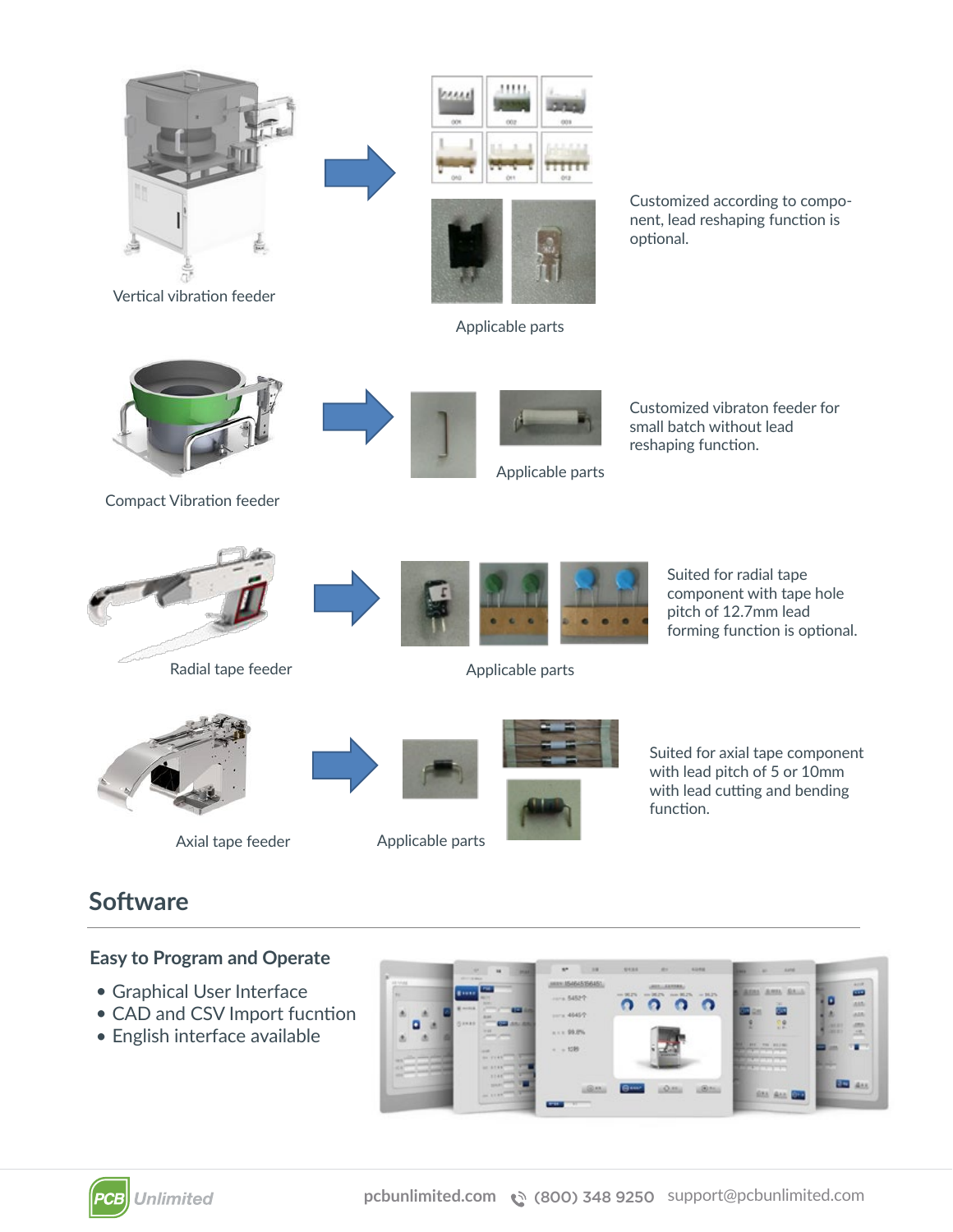

Vertical vibration feeder



Applicable parts

Customized according to component, lead reshaping function is optional.



Compact Vibration feeder





Applicable parts

Customized vibraton feeder for small batch without lead reshaping function.



Radial tape feeder







Applicable parts

Suited for radial tape component with tape hole pitch of 12.7mm lead forming function is optional.

Suited for axial tape component with lead pitch of 5 or 10mm with lead cutting and bending function.

Axial tape feeder

Applicable parts





### **Software**

#### **Easy to Program and Operate**

- Graphical User Interface
- CAD and CSV Import fucntion
- English interface available



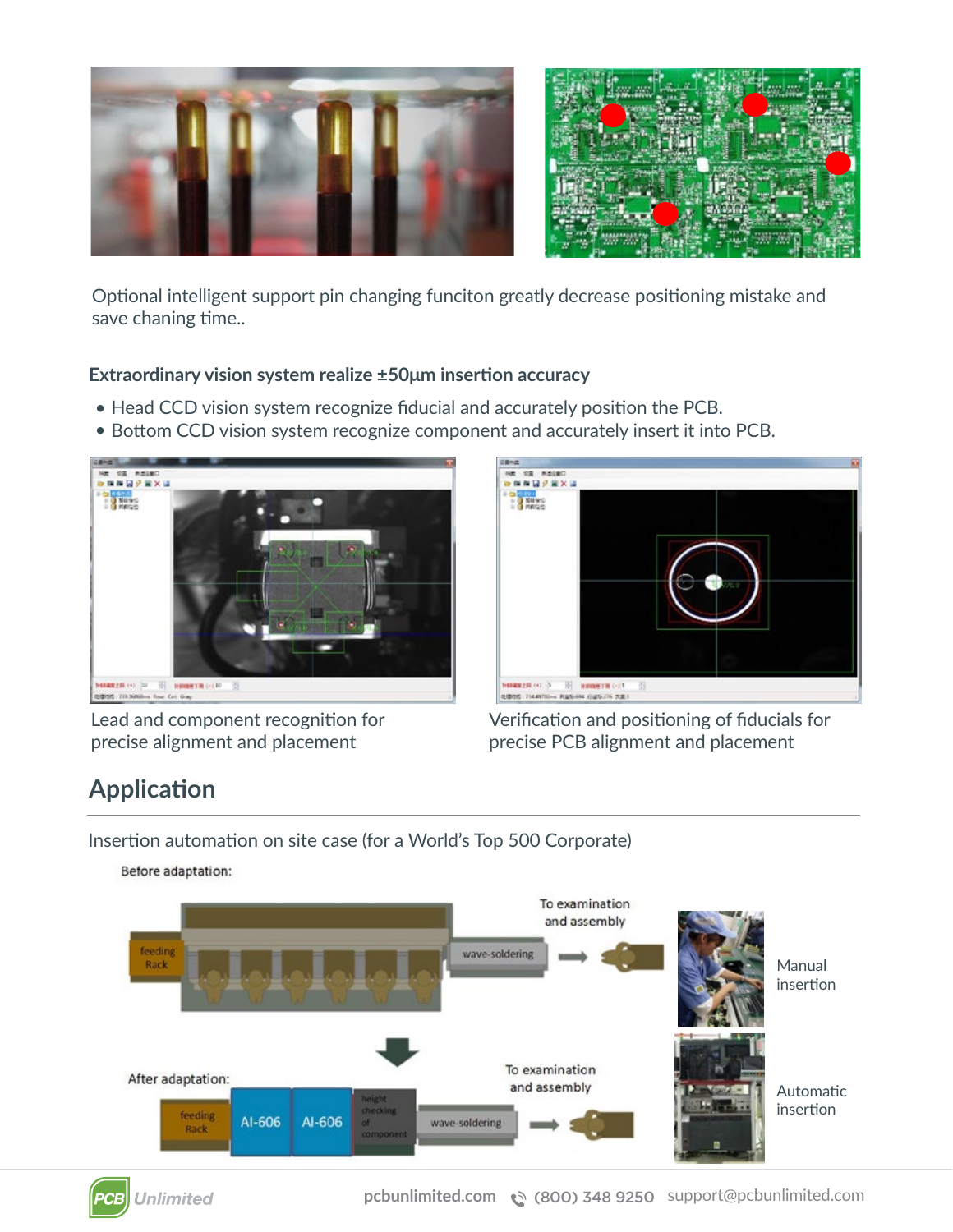

Optional intelligent support pin changing funciton greatly decrease positioning mistake and save chaning time..

#### **Extraordinary vision system realize ±50μm insertion accuracy**

- Head CCD vision system recognize fiducial and accurately position the PCB.
- Bottom CCD vision system recognize component and accurately insert it into PCB.



Lead and component recognition for precise alignment and placement



Verification and positioning of fiducials for precise PCB alignment and placement

# **Application**

Insertion automation on site case (for a World's Top 500 Corporate)

Before adaptation:



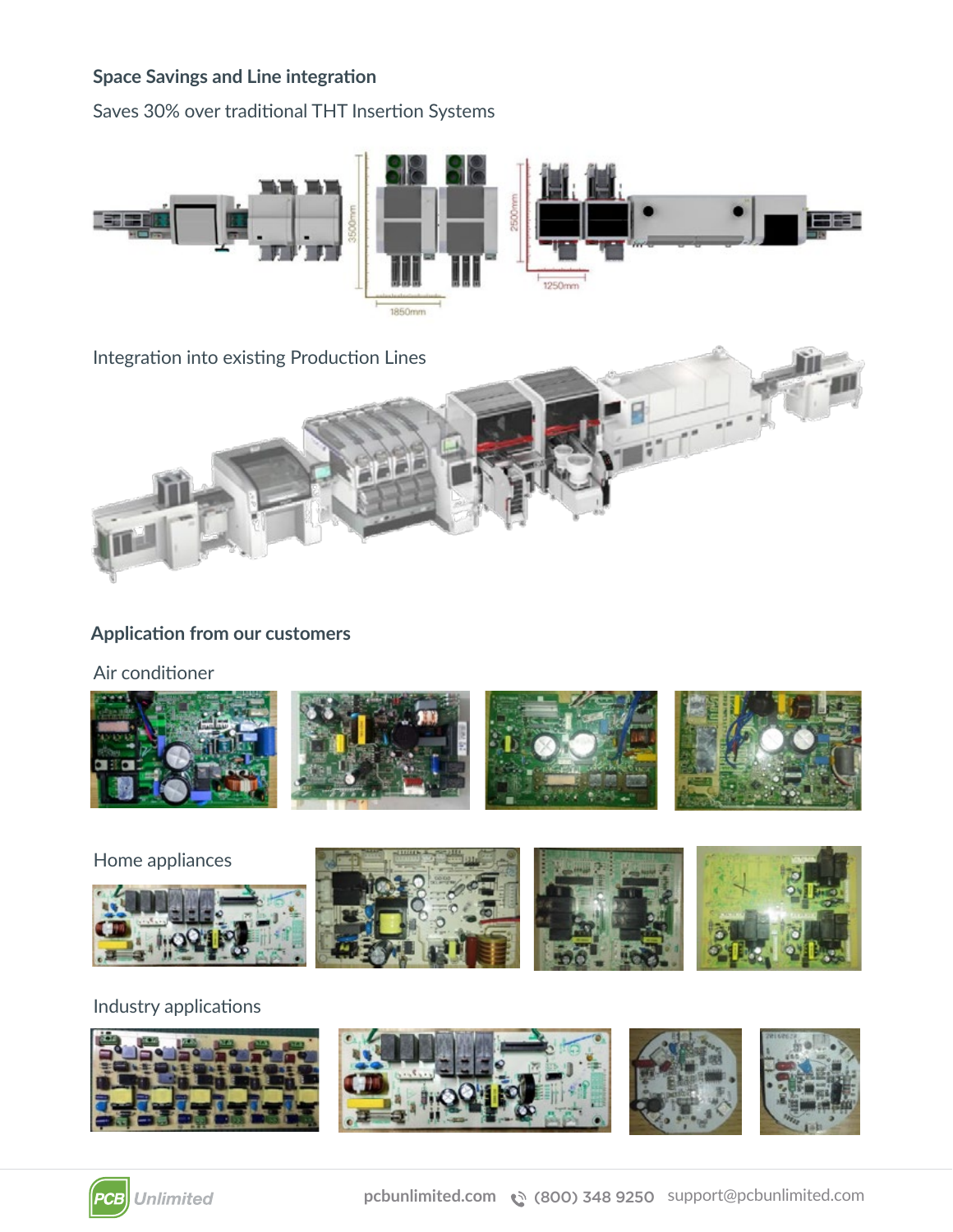#### **Space Savings and Line integration**

Saves 30% over traditional THT Insertion Systems





#### **Application from our customers**

Air conditioner



Home appliances









#### Industry applications